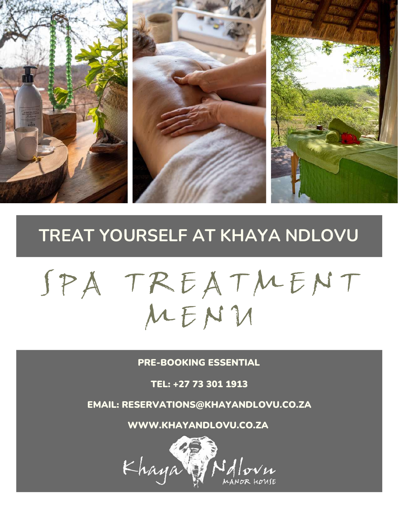

### **TREAT YOURSELF AT KHAYA NDLOVU**

# SPA TREATMENT M E N U

PRE-BOOKING ESSENTIAL

TEL: +27 73 301 1913

EMAIL: RESERVATIONS@KHAYANDLOVU.CO.ZA

WWW.KHAYANDLOVU.CO.ZA

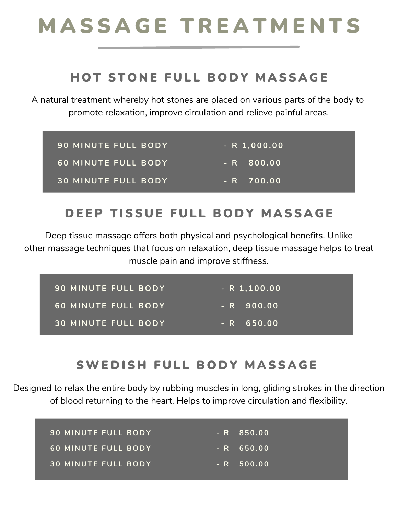## M A S S A G E T R E A T M E N T S

#### HOT STONE FULL BODY MASSAGE

A natural treatment whereby hot stones are placed on various parts of the body to promote relaxation, improve circulation and relieve painful areas.

| <b>90 MINUTE FULL BODY</b> | $-R$ 1,000.00 |
|----------------------------|---------------|
| 60 MINUTE FULL BODY        | '- R 800.00,  |
| <b>30 MINUTE FULL BODY</b> | $- R$ 700.00  |

#### DEEP TISSUE FULL BODY MASSAGE

Deep tissue massage offers both physical and psychological benefits. Unlike other massage techniques that focus on relaxation, deep tissue massage helps to treat muscle pain and improve stiffness.

| <b>90 MINUTE FULL BODY</b> | $-R$ 1,100.00   |
|----------------------------|-----------------|
| 60 MINUTE FULL BODY        | $- R 900.00$    |
| <b>30 MINUTE FULL BODY</b> | 650.00<br>$- R$ |

#### SWEDISH FULL BODY MASSAGE

Designed to relax the entire body by rubbing muscles in long, gliding strokes in the direction of blood returning to the heart. Helps to improve circulation and flexibility.

| 90 MINUTE FULL BODY        | $- R 850.00$ |
|----------------------------|--------------|
| 60 MINUTE FULL BODY        | $- R 650.00$ |
| <b>30 MINUTE FULL BODY</b> | $- R 500.00$ |